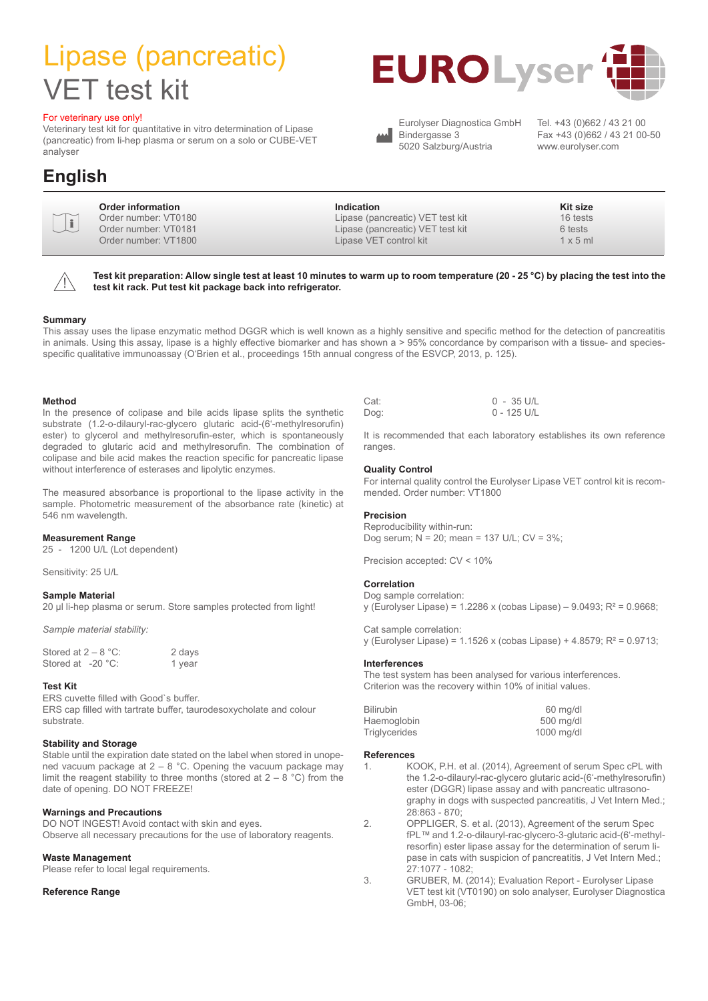## Lipase (pancreatic) VET test kit

#### For veterinary use only!

Veterinary test kit for quantitative in vitro determination of Lipase (pancreatic) from li-hep plasma or serum on a solo or CUBE-VET analyser

### **English**





**Test kit preparation: Allow single test at least 10 minutes to warm up to room temperature (20 - 25 °C) by placing the test into the test kit rack. Put test kit package back into refrigerator.**

#### **Summary**

This assay uses the lipase enzymatic method DGGR which is well known as a highly sensitive and specific method for the detection of pancreatitis in animals. Using this assay, lipase is a highly effective biomarker and has shown a > 95% concordance by comparison with a tissue- and speciesspecific qualitative immunoassay (O'Brien et al., proceedings 15th annual congress of the ESVCP, 2013, p. 125).

#### **Method**

In the presence of colipase and bile acids lipase splits the synthetic substrate (1.2-o-dilauryl-rac-glycero glutaric acid-(6'-methylresorufin) ester) to glycerol and methylresorufin-ester, which is spontaneously degraded to glutaric acid and methylresorufin. The combination of colipase and bile acid makes the reaction specific for pancreatic lipase without interference of esterases and lipolytic enzymes.

The measured absorbance is proportional to the lipase activity in the sample. Photometric measurement of the absorbance rate (kinetic) at 546 nm wavelength.

#### **Measurement Range**

25 - 1200 U/L (Lot dependent)

Sensitivity: 25 U/L

#### **Sample Material**

20 ul li-hep plasma or serum. Store samples protected from light!

*Sample material stability:*

| Stored at $2 - 8$ °C: | 2 days |
|-----------------------|--------|
| Stored at -20 °C:     | 1 year |

#### **Test Kit**

ERS cuvette filled with Good`s buffer. ERS cap filled with tartrate buffer, taurodesoxycholate and colour substrate.

#### **Stability and Storage**

Stable until the expiration date stated on the label when stored in unopened vacuum package at  $2 - 8$  °C. Opening the vacuum package may limit the reagent stability to three months (stored at  $2 - 8$  °C) from the date of opening. DO NOT FREEZE!

#### **Warnings and Precautions**

DO NOT INGEST! Avoid contact with skin and eyes. Observe all necessary precautions for the use of laboratory reagents.

#### **Waste Management**

Please refer to local legal requirements.

#### **Reference Range**

| Cat: | 0 - 35 U/L  |
|------|-------------|
| Dog: | 0 - 125 U/L |

It is recommended that each laboratory establishes its own reference ranges.

#### **Quality Control**

For internal quality control the Eurolyser Lipase VET control kit is recommended. Order number: VT1800

#### **Precision**

Reproducibility within-run: Dog serum; N = 20; mean = 137 U/L; CV = 3%;

Precision accepted: CV < 10%

#### **Correlation**

Dog sample correlation: y (Eurolyser Lipase) = 1.2286 x (cobas Lipase) – 9.0493; R² = 0.9668;

y (Eurolyser Lipase) = 1.1526 x (cobas Lipase) + 4.8579; R² = 0.9713;

### **Interferences**

Cat sample correlation:

The test system has been analysed for various interferences. Criterion was the recovery within 10% of initial values.

| <b>Bilirubin</b>     |           | 60 mg/d  |
|----------------------|-----------|----------|
| Haemoglobin          |           | 500 mg/d |
| <b>Triglycerides</b> | 1000 mg/d |          |

#### **References**

- 1. KOOK, P.H. et al. (2014), Agreement of serum Spec cPL with the 1.2-o-dilauryl-rac-glycero glutaric acid-(6'-methylresorufin) ester (DGGR) lipase assay and with pancreatic ultrasonography in dogs with suspected pancreatitis, J Vet Intern Med.; 28:863 - 870;
- 2. OPPLIGER, S. et al. (2013), Agreement of the serum Spec fPL™ and 1.2-o-dilauryl-rac-glycero-3-glutaric acid-(6'-methylresorfin) ester lipase assay for the determination of serum lipase in cats with suspicion of pancreatitis, J Vet Intern Med.; 27:1077 - 1082;
- 3. GRUBER, M. (2014); Evaluation Report Eurolyser Lipase VET test kit (VT0190) on solo analyser, Eurolyser Diagnostica GmbH, 03-06;





Eurolyser Diagnostica GmbH Bindergasse 3 5020 Salzburg/Austria

Tel. +43 (0)662 / 43 21 00 Fax +43 (0)662 / 43 21 00-50 www.eurolyser.com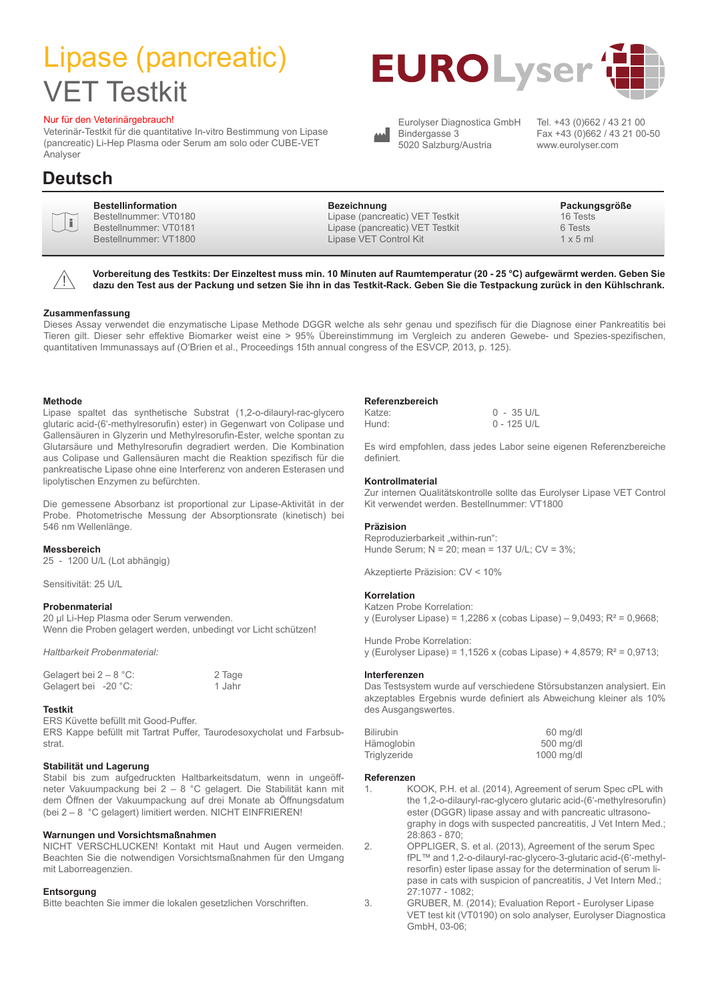# Lipase (pancreatic) VET Testkit

#### Nur für den Veterinärgebrauch!

Veterinär-Testkit für die quantitative In-vitro Bestimmung von Lipase (pancreatic) Li-Hep Plasma oder Serum am solo oder CUBE-VET Analyser

### **Deutsch**

| <b>Bestellinformation</b><br>Bezeichnung<br>$\sum_{i=1}^{n}$<br>Lipase (pancreatic) VET Testkit<br>Bestellnummer: VT0180<br>Bestellnummer: VT0181<br>Lipase (pancreatic) VET Testkit<br>Bestellnummer: VT1800<br>Lipase VET Control Kit | Packungsgröße<br>16 Tests<br>6 Tests<br>$1 \times 5$ ml |
|-----------------------------------------------------------------------------------------------------------------------------------------------------------------------------------------------------------------------------------------|---------------------------------------------------------|
|-----------------------------------------------------------------------------------------------------------------------------------------------------------------------------------------------------------------------------------------|---------------------------------------------------------|



**Vorbereitung des Testkits: Der Einzeltest muss min. 10 Minuten auf Raumtemperatur (20 - 25 °C) aufgewärmt werden. Geben Sie dazu den Test aus der Packung und setzen Sie ihn in das Testkit-Rack. Geben Sie die Testpackung zurück in den Kühlschrank.**

#### **Zusammenfassung**

Dieses Assay verwendet die enzymatische Lipase Methode DGGR welche als sehr genau und spezifisch für die Diagnose einer Pankreatitis bei Tieren gilt. Dieser sehr effektive Biomarker weist eine > 95% Übereinstimmung im Vergleich zu anderen Gewebe- und Spezies-spezifischen, quantitativen Immunassays auf (O'Brien et al., Proceedings 15th annual congress of the ESVCP, 2013, p. 125).

#### **Methode**

Lipase spaltet das synthetische Substrat (1,2-o-dilauryl-rac-glycero glutaric acid-(6'-methylresorufin) ester) in Gegenwart von Colipase und Gallensäuren in Glyzerin und Methylresorufin-Ester, welche spontan zu Glutarsäure und Methylresorufin degradiert werden. Die Kombination aus Colipase und Gallensäuren macht die Reaktion spezifisch für die pankreatische Lipase ohne eine Interferenz von anderen Esterasen und lipolytischen Enzymen zu befürchten.

Die gemessene Absorbanz ist proportional zur Lipase-Aktivität in der Probe. Photometrische Messung der Absorptionsrate (kinetisch) bei 546 nm Wellenlänge.

#### **Messbereich**

25 - 1200 U/L (Lot abhängig)

#### Sensitivität: 25 U/L

#### **Probenmaterial**

20 µl Li-Hep Plasma oder Serum verwenden. Wenn die Proben gelagert werden, unbedingt vor Licht schützen!

*Haltbarkeit Probenmaterial:*

| Gelagert bei $2 - 8$ °C: | 2 Tage |
|--------------------------|--------|
| Gelagert bei $-20$ °C:   | 1 Jahr |

#### **Testkit**

ERS Küvette befüllt mit Good-Puffer.

ERS Kappe befüllt mit Tartrat Puffer, Taurodesoxycholat und Farbsubstrat.

#### **Stabilität und Lagerung**

Stabil bis zum aufgedruckten Haltbarkeitsdatum, wenn in ungeöffneter Vakuumpackung bei 2 – 8 °C gelagert. Die Stabilität kann mit dem Öffnen der Vakuumpackung auf drei Monate ab Öffnungsdatum (bei 2 – 8 °C gelagert) limitiert werden. NICHT EINFRIEREN!

#### **Warnungen und Vorsichtsmaßnahmen**

NICHT VERSCHLUCKEN! Kontakt mit Haut und Augen vermeiden. Beachten Sie die notwendigen Vorsichtsmaßnahmen für den Umgang mit Laborreagenzien.

#### **Entsorgung**

Bitte beachten Sie immer die lokalen gesetzlichen Vorschriften.

#### **Referenzbereich**

Katze: 0 - 35 U/L Hund: 0 - 125 U/L

Es wird empfohlen, dass jedes Labor seine eigenen Referenzbereiche definiert.

#### **Kontrollmaterial**

Zur internen Qualitätskontrolle sollte das Eurolyser Lipase VET Control Kit verwendet werden. Bestellnummer: VT1800

#### **Präzision**

Reproduzierbarkeit "within-run": Hunde Serum; N = 20; mean = 137 U/L; CV = 3%;

Akzeptierte Präzision: CV < 10%

#### **Korrelation**

Katzen Probe Korrelation: y (Eurolyser Lipase) = 1,2286 x (cobas Lipase) – 9,0493; R² = 0,9668;

Hunde Probe Korrelation: y (Eurolyser Lipase) = 1,1526 x (cobas Lipase) + 4,8579; R² = 0,9713;

#### **Interferenzen**

Das Testsystem wurde auf verschiedene Störsubstanzen analysiert. Ein akzeptables Ergebnis wurde definiert als Abweichung kleiner als 10% des Ausgangswertes.

| <b>Bilirubin</b> |            | 60 mg/dl  |
|------------------|------------|-----------|
| Hämoglobin       |            | 500 mg/dl |
| Triglyzeride     | 1000 mg/dl |           |

#### **Referenzen**

- 1. KOOK, P.H. et al. (2014), Agreement of serum Spec cPL with the 1,2-o-dilauryl-rac-glycero glutaric acid-(6'-methylresorufin) ester (DGGR) lipase assay and with pancreatic ultrasonography in dogs with suspected pancreatitis, J Vet Intern Med.; 28:863 - 870; 2. OPPLIGER, S. et al. (2013), Agreement of the serum Spec
	- fPL™ and 1,2-o-dilauryl-rac-glycero-3-glutaric acid-(6'-methylresorfin) ester lipase assay for the determination of serum lipase in cats with suspicion of pancreatitis, J Vet Intern Med.; 27:1077 - 1082;
- 3. GRUBER, M. (2014); Evaluation Report Eurolyser Lipase VET test kit (VT0190) on solo analyser, Eurolyser Diagnostica GmbH, 03-06;





Eurolyser Diagnostica GmbH Bindergasse 3 5020 Salzburg/Austria

Tel. +43 (0)662 / 43 21 00 Fax +43 (0)662 / 43 21 00-50 www.eurolyser.com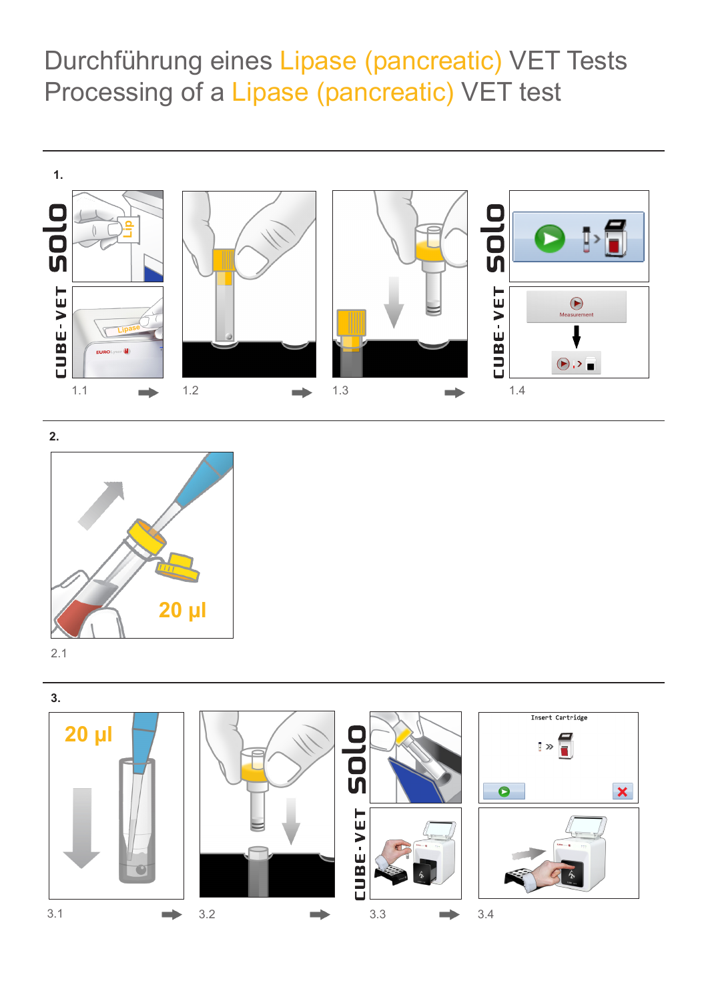Durchführung eines Lipase (pancreatic) VET Tests Processing of a Lipase (pancreatic) VET test





2.1